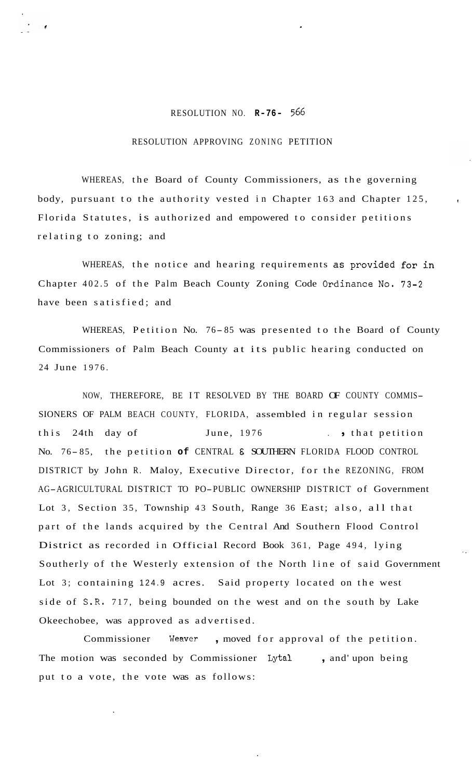## RESOLUTION NO. **R-76-** *566*

## RESOLUTION APPROVING ZONING PETITION

WHEREAS, the Board of County Commissioners, as the governing body, pursuant to the authority vested in Chapter 163 and Chapter 125, Florida Statutes, is authorized and empowered to consider petitions relating to zoning; and

WHEREAS, the notice and hearing requirements as provided for in Chapter 402.5 of the Palm Beach County Zoning Code Ordinance No. 73-2 have been satisfied; and

WHEREAS, Petition No. 76-85 was presented to the Board of County Commissioners of Palm Beach County at its public hearing conducted on 24 June 1976.

NOW, THEREFORE, BE IT RESOLVED BY THE BOARD OF COUNTY COMMIS-SIONERS OF PALM BEACH COUNTY, FLORIDA, assembled in regular session this 24th day of June, 1976 . that petition No. 76- 85, the petition **of** CENTRAL E SOUTHERN FLORIDA FLOOD CONTROL DISTRICT by John R. Maloy, Executive Director, for the REZONING, FROM AG-AGRICULTURAL DISTRICT TO PO-PUBLIC OWNERSHIP DISTRICT of Government Lot 3, Section 35, Township 43 South, Range 36 East; also, all that part of the lands acquired by the Central And Southern Flood Control District as recorded in Official Record Book 361, Page 494, lying Southerly of the Westerly extension of the North line of said Government Lot 3; containing 124.9 acres. Said property located on the west side of S.R. 717, being bounded on the west and on the south by Lake Okeechobee, was approved as advertised.

..

Commissioner Weaver, moved for approval of the petition. The motion was seconded by Commissioner **Lytal** , and' upon being put to a vote, the vote was as follows: